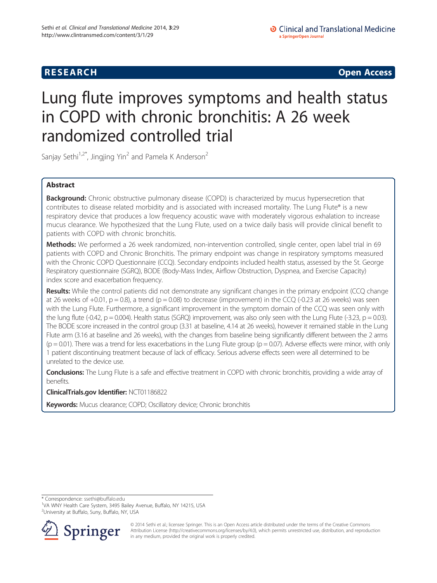**RESEARCH CHINESE ARCH CHINESE ARCH CHINESE ARCH <b>CHINESE ARCH** 

# Lung flute improves symptoms and health status in COPD with chronic bronchitis: A 26 week randomized controlled trial

Sanjay Sethi<sup>1,2\*</sup>, Jingjing Yin<sup>2</sup> and Pamela K Anderson<sup>2</sup>

### Abstract

**Background:** Chronic obstructive pulmonary disease (COPD) is characterized by mucus hypersecretion that contributes to disease related morbidity and is associated with increased mortality. The Lung Flute® is a new respiratory device that produces a low frequency acoustic wave with moderately vigorous exhalation to increase mucus clearance. We hypothesized that the Lung Flute, used on a twice daily basis will provide clinical benefit to patients with COPD with chronic bronchitis.

Methods: We performed a 26 week randomized, non-intervention controlled, single center, open label trial in 69 patients with COPD and Chronic Bronchitis. The primary endpoint was change in respiratory symptoms measured with the Chronic COPD Questionnaire (CCQ). Secondary endpoints included health status, assessed by the St. George Respiratory questionnaire (SGRQ), BODE (Body-Mass Index, Airflow Obstruction, Dyspnea, and Exercise Capacity) index score and exacerbation frequency.

Results: While the control patients did not demonstrate any significant changes in the primary endpoint (CCQ change at 26 weeks of  $+0.01$ ,  $p = 0.8$ ), a trend ( $p = 0.08$ ) to decrease (improvement) in the CCQ (-0.23 at 26 weeks) was seen with the Lung Flute. Furthermore, a significant improvement in the symptom domain of the CCQ was seen only with the lung flute (-0.42,  $p = 0.004$ ). Health status (SGRQ) improvement, was also only seen with the Lung Flute (-3.23,  $p = 0.03$ ). The BODE score increased in the control group (3.31 at baseline, 4.14 at 26 weeks), however it remained stable in the Lung Flute arm (3.16 at baseline and 26 weeks), with the changes from baseline being significantly different between the 2 arms  $(p = 0.01)$ . There was a trend for less exacerbations in the Lung Flute group  $(p = 0.07)$ . Adverse effects were minor, with only 1 patient discontinuing treatment because of lack of efficacy. Serious adverse effects seen were all determined to be unrelated to the device use.

Conclusions: The Lung Flute is a safe and effective treatment in COPD with chronic bronchitis, providing a wide array of benefits.

ClinicalTrials.gov Identifier: [NCT01186822](http://clinicaltrials.gov)

Keywords: Mucus clearance; COPD; Oscillatory device; Chronic bronchitis

\* Correspondence: [ssethi@buffalo.edu](mailto:ssethi@buffalo.edu) <sup>1</sup>

VA WNY Health Care System, 3495 Bailey Avenue, Buffalo, NY 14215, USA <sup>2</sup>University at Buffalo, Suny, Buffalo, NY, USA



© 2014 Sethi et al.; licensee Springer. This is an Open Access article distributed under the terms of the Creative Commons Attribution License [\(http://creativecommons.org/licenses/by/4.0\)](http://creativecommons.org/licenses/by/4.0), which permits unrestricted use, distribution, and reproduction in any medium, provided the original work is properly credited.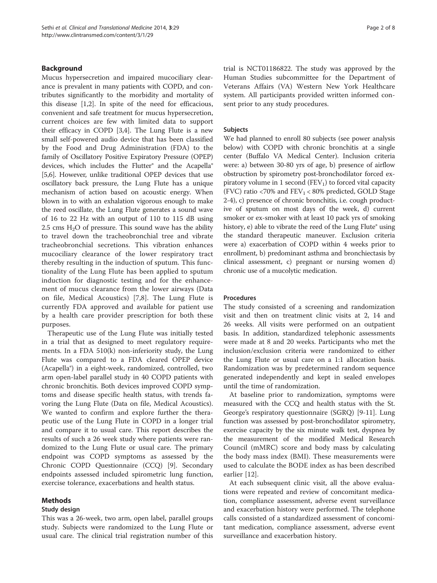#### Background

Mucus hypersecretion and impaired mucociliary clearance is prevalent in many patients with COPD, and contributes significantly to the morbidity and mortality of this disease [\[1,2](#page-7-0)]. In spite of the need for efficacious, convenient and safe treatment for mucus hypersecretion, current choices are few with limited data to support their efficacy in COPD [[3,4\]](#page-7-0). The Lung Flute is a new small self-powered audio device that has been classified by the Food and Drug Administration (FDA) to the family of Oscillatory Positive Expiratory Pressure (OPEP) devices, which includes the Flutter® and the Acapella® [[5,6](#page-7-0)]. However, unlike traditional OPEP devices that use oscillatory back pressure, the Lung Flute has a unique mechanism of action based on acoustic energy. When blown in to with an exhalation vigorous enough to make the reed oscillate, the Lung Flute generates a sound wave of 16 to 22 Hz with an output of 110 to 115 dB using 2.5 cms  $H_2O$  of pressure. This sound wave has the ability to travel down the tracheobronchial tree and vibrate tracheobronchial secretions. This vibration enhances mucociliary clearance of the lower respiratory tract thereby resulting in the induction of sputum. This functionality of the Lung Flute has been applied to sputum induction for diagnostic testing and for the enhancement of mucus clearance from the lower airways (Data on file, Medical Acoustics) [[7,8](#page-7-0)]. The Lung Flute is currently FDA approved and available for patient use by a health care provider prescription for both these purposes.

Therapeutic use of the Lung Flute was initially tested in a trial that as designed to meet regulatory requirements. In a FDA 510(k) non-inferiority study, the Lung Flute was compared to a FDA cleared OPEP device (Acapella®) in a eight-week, randomized, controlled, two arm open-label parallel study in 40 COPD patients with chronic bronchitis. Both devices improved COPD symptoms and disease specific health status, with trends favoring the Lung Flute (Data on file, Medical Acoustics). We wanted to confirm and explore further the therapeutic use of the Lung Flute in COPD in a longer trial and compare it to usual care. This report describes the results of such a 26 week study where patients were randomized to the Lung Flute or usual care. The primary endpoint was COPD symptoms as assessed by the Chronic COPD Questionnaire (CCQ) [[9\]](#page-7-0). Secondary endpoints assessed included spirometric lung function, exercise tolerance, exacerbations and health status.

#### Methods

#### Study design

This was a 26-week, two arm, open label, parallel groups study. Subjects were randomized to the Lung Flute or usual care. The clinical trial registration number of this trial is NCT01186822. The study was approved by the Human Studies subcommittee for the Department of Veterans Affairs (VA) Western New York Healthcare system. All participants provided written informed consent prior to any study procedures.

#### Subjects

We had planned to enroll 80 subjects (see power analysis below) with COPD with chronic bronchitis at a single center (Buffalo VA Medical Center). Inclusion criteria were: a) between 30-80 yrs of age, b) presence of airflow obstruction by spirometry post-bronchodilator forced expiratory volume in 1 second  $(FEV_1)$  to forced vital capacity (FVC) ratio <70% and  $FEV_1$  < 80% predicted, GOLD Stage 2-4), c) presence of chronic bronchitis, i.e. cough productive of sputum on most days of the week, d) current smoker or ex-smoker with at least 10 pack yrs of smoking history, e) able to vibrate the reed of the Lung Flute® using the standard therapeutic maneuver. Exclusion criteria were a) exacerbation of COPD within 4 weeks prior to enrollment, b) predominant asthma and bronchiectasis by clinical assessment, c) pregnant or nursing women d) chronic use of a mucolytic medication.

#### Procedures

The study consisted of a screening and randomization visit and then on treatment clinic visits at 2, 14 and 26 weeks. All visits were performed on an outpatient basis. In addition, standardized telephonic assessments were made at 8 and 20 weeks. Participants who met the inclusion/exclusion criteria were randomized to either the Lung Flute or usual care on a 1:1 allocation basis. Randomization was by predetermined random sequence generated independently and kept in sealed envelopes until the time of randomization.

At baseline prior to randomization, symptoms were measured with the CCQ and health status with the St. George's respiratory questionnaire (SGRQ) [\[9-11](#page-7-0)]. Lung function was assessed by post-bronchodilator spirometry, exercise capacity by the six minute walk test, dyspnea by the measurement of the modified Medical Research Council (mMRC) score and body mass by calculating the body mass index (BMI). These measurements were used to calculate the BODE index as has been described earlier [\[12](#page-7-0)].

At each subsequent clinic visit, all the above evaluations were repeated and review of concomitant medication, compliance assessment, adverse event surveillance and exacerbation history were performed. The telephone calls consisted of a standardized assessment of concomitant medication, compliance assessment, adverse event surveillance and exacerbation history.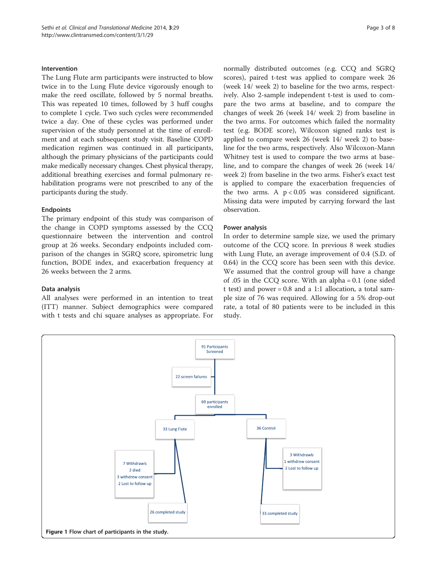#### <span id="page-2-0"></span>Intervention

The Lung Flute arm participants were instructed to blow twice in to the Lung Flute device vigorously enough to make the reed oscillate, followed by 5 normal breaths. This was repeated 10 times, followed by 3 huff coughs to complete 1 cycle. Two such cycles were recommended twice a day. One of these cycles was performed under supervision of the study personnel at the time of enrollment and at each subsequent study visit. Baseline COPD medication regimen was continued in all participants, although the primary physicians of the participants could make medically necessary changes. Chest physical therapy, additional breathing exercises and formal pulmonary rehabilitation programs were not prescribed to any of the participants during the study.

#### Endpoints

The primary endpoint of this study was comparison of the change in COPD symptoms assessed by the CCQ questionnaire between the intervention and control group at 26 weeks. Secondary endpoints included comparison of the changes in SGRQ score, spirometric lung function, BODE index, and exacerbation frequency at 26 weeks between the 2 arms.

#### Data analysis

All analyses were performed in an intention to treat (ITT) manner. Subject demographics were compared with t tests and chi square analyses as appropriate. For normally distributed outcomes (e.g. CCQ and SGRQ scores), paired t-test was applied to compare week 26 (week 14/ week 2) to baseline for the two arms, respectively. Also 2-sample independent t-test is used to compare the two arms at baseline, and to compare the changes of week 26 (week 14/ week 2) from baseline in the two arms. For outcomes which failed the normality test (e.g. BODE score), Wilcoxon signed ranks test is applied to compare week 26 (week 14/ week 2) to baseline for the two arms, respectively. Also Wilcoxon-Mann Whitney test is used to compare the two arms at baseline, and to compare the changes of week 26 (week 14/ week 2) from baseline in the two arms. Fisher's exact test is applied to compare the exacerbation frequencies of the two arms. A  $p < 0.05$  was considered significant. Missing data were imputed by carrying forward the last observation.

#### Power analysis

In order to determine sample size, we used the primary outcome of the CCQ score. In previous 8 week studies with Lung Flute, an average improvement of 0.4 (S.D. of 0.64) in the CCQ score has been seen with this device. We assumed that the control group will have a change of .05 in the CCQ score. With an alpha = 0.1 (one sided t test) and power =  $0.8$  and a 1:1 allocation, a total sample size of 76 was required. Allowing for a 5% drop-out rate, a total of 80 patients were to be included in this study.

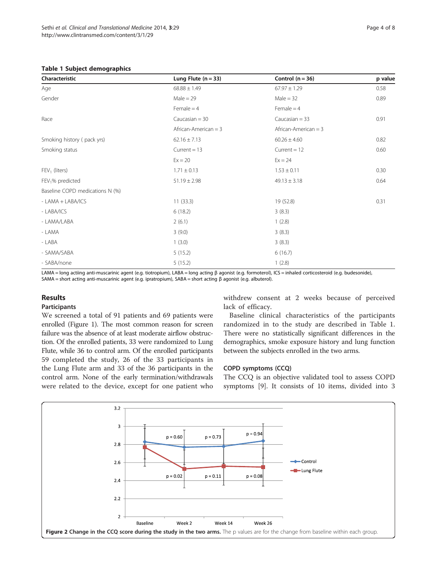#### <span id="page-3-0"></span>Table 1 Subject demographics

| Characteristic                  | Lung Flute $(n = 33)$  | Control $(n = 36)$     | p value |
|---------------------------------|------------------------|------------------------|---------|
| Age                             | $68.88 \pm 1.49$       | $67.97 \pm 1.29$       | 0.58    |
| Gender                          | $Male = 29$            | $Male = 32$            | 0.89    |
|                                 | $Female = 4$           | Female $=$ 4           |         |
| Race                            | Caucasian $=$ 30       | Caucasian $=$ 33       | 0.91    |
|                                 | African-American $=$ 3 | African-American $=$ 3 |         |
| Smoking history (pack yrs)      | $62.16 \pm 7.13$       | $60.26 \pm 4.60$       | 0.82    |
| Smoking status                  | Current $= 13$         | Current $= 12$         | 0.60    |
|                                 | $Ex = 20$              | $Ex = 24$              |         |
| $FEV1$ (liters)                 | $1.71 \pm 0.13$        | $1.53 \pm 0.11$        | 0.30    |
| $FEV1%$ predicted               | $51.19 \pm 2.98$       | $49.13 \pm 3.18$       | 0.64    |
| Baseline COPD medications N (%) |                        |                        |         |
| - LAMA + LABA/ICS               | 11(33.3)               | 19 (52.8)              | 0.31    |
| - LABA/ICS                      | 6(18.2)                | 3(8.3)                 |         |
| - LAMA/LABA                     | 2(6.1)                 | 1(2.8)                 |         |
| - LAMA                          | 3(9.0)                 | 3(8.3)                 |         |
| - LABA                          | 1(3.0)                 | 3(8.3)                 |         |
| - SAMA/SABA                     | 5(15.2)                | 6(16.7)                |         |
| - SABA/none                     | 5(15.2)                | 1(2.8)                 |         |

LAMA = long actiing anti-muscarinic agent (e.g. tiotropium), LABA = long acting β agonist (e.g. formoterol), ICS = inhaled corticosteroid (e.g. budesonide), SAMA = short acting anti-muscarinic agent (e.g. ipratropium), SABA = short acting β agonist (e.g. albuterol).

#### Results

#### Participants

We screened a total of 91 patients and 69 patients were enrolled (Figure [1\)](#page-2-0). The most common reason for screen failure was the absence of at least moderate airflow obstruction. Of the enrolled patients, 33 were randomized to Lung Flute, while 36 to control arm. Of the enrolled participants 59 completed the study, 26 of the 33 participants in the Lung Flute arm and 33 of the 36 participants in the control arm. None of the early termination/withdrawals were related to the device, except for one patient who

withdrew consent at 2 weeks because of perceived lack of efficacy.

Baseline clinical characteristics of the participants randomized in to the study are described in Table 1. There were no statistically significant differences in the demographics, smoke exposure history and lung function between the subjects enrolled in the two arms.

#### COPD symptoms (CCQ)

The CCQ is an objective validated tool to assess COPD symptoms [[9\]](#page-7-0). It consists of 10 items, divided into 3

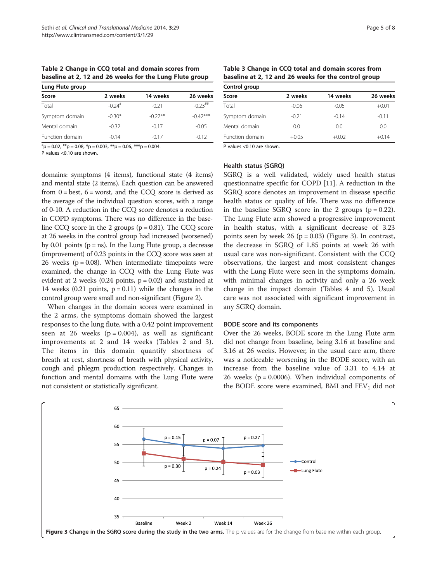Table 2 Change in CCQ total and domain scores from baseline at 2, 12 and 26 weeks for the Lung Flute group

| Lung Flute group |                      |           |                       |
|------------------|----------------------|-----------|-----------------------|
| Score            | 2 weeks              | 14 weeks  | 26 weeks              |
| Total            | $-0.24$ <sup>#</sup> | $-0.21$   | $-0.23$ <sup>##</sup> |
| Symptom domain   | $-0.30*$             | $-0.27**$ | $-0.42***$            |
| Mental domain    | $-0.32$              | $-0.17$   | $-0.05$               |
| Function domain  | $-0.14$              | $-0.17$   | $-0.12$               |

 ${}^{#}p = 0.02, {}^{#}#p = 0.08, {}^{*}p = 0.003, {}^{**}p = 0.06, {}^{***}p = 0.004.$ 

P values <0.10 are shown.

Table 3 Change in CCQ total and domain scores from baseline at 2, 12 and 26 weeks for the control group

| 26 weeks |
|----------|
|          |
| $+0.01$  |
| $-0.11$  |
| 0.0      |
| $+0.14$  |
|          |

P values <0.10 are shown.

## Health status (SGRQ)

domains: symptoms (4 items), functional state (4 items) and mental state (2 items). Each question can be answered from  $0 = \text{best}$ ,  $6 = \text{worst}$ , and the CCO score is derived as the average of the individual question scores, with a range of 0-10. A reduction in the CCQ score denotes a reduction in COPD symptoms. There was no difference in the baseline CCQ score in the 2 groups  $(p = 0.81)$ . The CCQ score at 26 weeks in the control group had increased (worsened) by 0.01 points ( $p = ns$ ). In the Lung Flute group, a decrease (improvement) of 0.23 points in the CCQ score was seen at 26 weeks ( $p = 0.08$ ). When intermediate timepoints were examined, the change in CCQ with the Lung Flute was evident at 2 weeks (0.24 points,  $p = 0.02$ ) and sustained at 14 weeks  $(0.21 \text{ points}, p = 0.11)$  while the changes in the control group were small and non-significant (Figure [2\)](#page-3-0).

When changes in the domain scores were examined in the 2 arms, the symptoms domain showed the largest responses to the lung flute, with a 0.42 point improvement seen at 26 weeks  $(p = 0.004)$ , as well as significant improvements at 2 and 14 weeks (Tables 2 and 3). The items in this domain quantify shortness of breath at rest, shortness of breath with physical activity, cough and phlegm production respectively. Changes in function and mental domains with the Lung Flute were not consistent or statistically significant.

SGRQ is a well validated, widely used health status questionnaire specific for COPD [\[11](#page-7-0)]. A reduction in the SGRQ score denotes an improvement in disease specific health status or quality of life. There was no difference in the baseline SGRQ score in the 2 groups  $(p = 0.22)$ . The Lung Flute arm showed a progressive improvement in health status, with a significant decrease of 3.23 points seen by week 26 ( $p = 0.03$ ) (Figure 3). In contrast, the decrease in SGRQ of 1.85 points at week 26 with usual care was non-significant. Consistent with the CCQ observations, the largest and most consistent changes with the Lung Flute were seen in the symptoms domain, with minimal changes in activity and only a 26 week change in the impact domain (Tables [4](#page-5-0) and [5](#page-5-0)). Usual care was not associated with significant improvement in any SGRQ domain.

#### BODE score and its components

Over the 26 weeks, BODE score in the Lung Flute arm did not change from baseline, being 3.16 at baseline and 3.16 at 26 weeks. However, in the usual care arm, there was a noticeable worsening in the BODE score, with an increase from the baseline value of 3.31 to 4.14 at 26 weeks ( $p = 0.0006$ ). When individual components of the BODE score were examined, BMI and  $FEV<sub>1</sub>$  did not

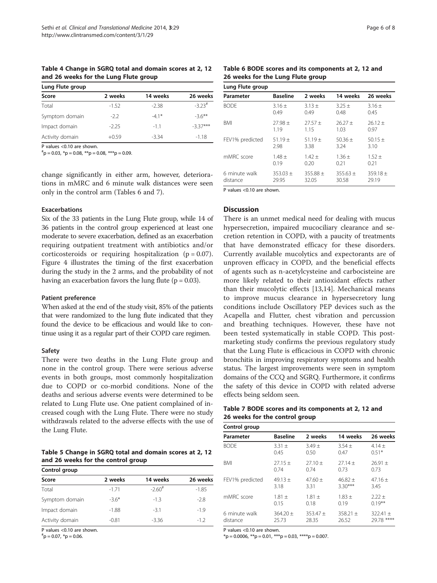<span id="page-5-0"></span>Table 4 Change in SGRQ total and domain scores at 2, 12 and 26 weeks for the Lung Flute group

| Lung Flute group |         |          |                      |  |
|------------------|---------|----------|----------------------|--|
| Score            | 2 weeks | 14 weeks | 26 weeks             |  |
| Total            | $-1.52$ | $-2.38$  | $-3.23$ <sup>#</sup> |  |
| Symptom domain   | $-2.2$  | $-41*$   | $-36**$              |  |
| Impact domain    | $-2.25$ | $-11$    | $-3.37***$           |  |
| Activity domain  | $+0.59$ | $-3.34$  | $-1.18$              |  |

P values <0.10 are shown.

 $*$ <sup>\*</sup>p = 0.03,  $*$ p = 0.08,  $**$ p = 0.08,  $**$ \* $*$ p = 0.09.

change significantly in either arm, however, deteriorations in mMRC and 6 minute walk distances were seen only in the control arm (Tables 6 and 7).

#### Exacerbations

Six of the 33 patients in the Lung Flute group, while 14 of 36 patients in the control group experienced at least one moderate to severe exacerbation, defined as an exacerbation requiring outpatient treatment with antibiotics and/or corticosteroids or requiring hospitalization  $(p = 0.07)$ . Figure [4](#page-6-0) illustrates the timing of the first exacerbation during the study in the 2 arms, and the probability of not having an exacerbation favors the lung flute ( $p = 0.03$ ).

#### Patient preference

When asked at the end of the study visit, 85% of the patients that were randomized to the lung flute indicated that they found the device to be efficacious and would like to continue using it as a regular part of their COPD care regimen.

#### Safety

There were two deaths in the Lung Flute group and none in the control group. There were serious adverse events in both groups, most commonly hospitalization due to COPD or co-morbid conditions. None of the deaths and serious adverse events were determined to be related to Lung Flute use. One patient complained of increased cough with the Lung Flute. There were no study withdrawals related to the adverse effects with the use of the Lung Flute.

Table 5 Change in SGRQ total and domain scores at 2, 12 and 26 weeks for the control group

| Control group   |         |                      |          |  |  |
|-----------------|---------|----------------------|----------|--|--|
| Score           | 2 weeks | 14 weeks             | 26 weeks |  |  |
| Total           | $-171$  | $-2.60$ <sup>#</sup> | $-1.85$  |  |  |
| Symptom domain  | $-3.6*$ | $-1.3$               | $-2.8$   |  |  |
| Impact domain   | $-1.88$ | $-3.1$               | $-1.9$   |  |  |
| Activity domain | $-0.81$ | $-3.36$              | $-1.2$   |  |  |

P values <0.10 are shown.

 $\rm{^{\#}p} = 0.07$ ,  $\rm{^{\ast}p} = 0.06$ .

Table 6 BODE scores and its components at 2, 12 and 26 weeks for the Lung Flute group

| <b>Baseline</b> | 2 weeks      | 14 weeks     | 26 weeks   |
|-----------------|--------------|--------------|------------|
| $3.16 +$        | $3.13 +$     | $3.25 +$     | $3.16 +$   |
| 0.49            | 0.49         | 0.48         | 0.45       |
| $27.98 +$       | $27.57 +$    | $26.27 +$    | $26.12 +$  |
| 1.19            | 1.15         | 1.03         | 0.97       |
| $51.19 +$       | $51.19 +$    | $50.36 +$    | $50.15 +$  |
| 2.98            | 3.38         | 3.24         | 3.10       |
| $1.48 +$        | $1.42 +$     | $1.36 +$     | $1.52 +$   |
| 0.19            | 0.20         | 0.21         | 0.21       |
| $353.03 +$      | $355.88 \pm$ | $355.63 \pm$ | $359.18 +$ |
| 29.95           | 32.05        | 30.58        | 29.19      |
|                 |              |              |            |

P values <0.10 are shown.

#### **Discussion**

There is an unmet medical need for dealing with mucus hypersecretion, impaired mucociliary clearance and secretion retention in COPD, with a paucity of treatments that have demonstrated efficacy for these disorders. Currently available mucolytics and expectorants are of unproven efficacy in COPD, and the beneficial effects of agents such as n-acetylcysteine and carbocisteine are more likely related to their antioxidant effects rather than their mucolytic effects [[13,14\]](#page-7-0). Mechanical means to improve mucus clearance in hypersecretory lung conditions include Oscillatory PEP devices such as the Acapella and Flutter, chest vibration and percussion and breathing techniques. However, these have not been tested systematically in stable COPD. This postmarketing study confirms the previous regulatory study that the Lung Flute is efficacious in COPD with chronic bronchitis in improving respiratory symptoms and health status. The largest improvements were seen in symptom domains of the CCQ and SGRQ. Furthermore, it confirms the safety of this device in COPD with related adverse effects being seldom seen.

#### Table 7 BODE scores and its components at 2, 12 and 26 weeks for the control group

| Control group             |                     |                     |                     |                             |
|---------------------------|---------------------|---------------------|---------------------|-----------------------------|
| Parameter                 | <b>Baseline</b>     | 2 weeks             | 14 weeks            | 26 weeks                    |
| <b>BODE</b>               | $3.31 +$            | $3.49 +$            | $3.54 +$            | $4.14 +$                    |
|                           | 0.45                | 0.50                | 0.47                | $0.51*$                     |
| <b>BMI</b>                | $27.15 +$           | $27.10 +$           | $27.14 +$           | $26.91 \pm$                 |
|                           | 074                 | 074                 | 0.73                | 0.73                        |
| FEV1% predicted           | $49.13 +$           | $47.60 +$           | $46.82 +$           | $47.16 +$                   |
|                           | 3.18                | 3.31                | $3.30***$           | 3.45                        |
| mMRC score                | $1.81 +$            | $1.81 +$            | $1.83 +$            | $2.22 +$                    |
|                           | 0.15                | 0.18                | 0.19                | $0.19***$                   |
| 6 minute walk<br>distance | $364.20 +$<br>25.73 | $353.47 +$<br>28.35 | $358.21 +$<br>26.52 | $322.41 +$<br>****<br>29.78 |

P values <0.10 are shown.

 $*$ p = 0.0006,  $*$  $*$ p = 0.01,  $*$  $*$  $*$ p = 0.03,  $*$  $*$  $*$  $*$ p = 0.007.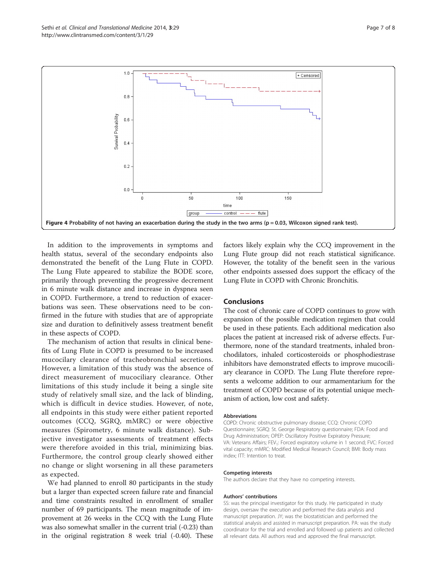<span id="page-6-0"></span>

In addition to the improvements in symptoms and health status, several of the secondary endpoints also demonstrated the benefit of the Lung Flute in COPD. The Lung Flute appeared to stabilize the BODE score, primarily through preventing the progressive decrement in 6 minute walk distance and increase in dyspnea seen in COPD. Furthermore, a trend to reduction of exacerbations was seen. These observations need to be confirmed in the future with studies that are of appropriate size and duration to definitively assess treatment benefit in these aspects of COPD.

The mechanism of action that results in clinical benefits of Lung Flute in COPD is presumed to be increased mucocilary clearance of tracheobronchial secretions. However, a limitation of this study was the absence of direct measurement of mucociliary clearance. Other limitations of this study include it being a single site study of relatively small size, and the lack of blinding, which is difficult in device studies. However, of note, all endpoints in this study were either patient reported outcomes (CCQ, SGRQ, mMRC) or were objective measures (Spirometry, 6 minute walk distance). Subjective investigator assessments of treatment effects were therefore avoided in this trial, minimizing bias. Furthermore, the control group clearly showed either no change or slight worsening in all these parameters as expected.

We had planned to enroll 80 participants in the study but a larger than expected screen failure rate and financial and time constraints resulted in enrollment of smaller number of 69 participants. The mean magnitude of improvement at 26 weeks in the CCQ with the Lung Flute was also somewhat smaller in the current trial (-0.23) than in the original registration 8 week trial (-0.40). These factors likely explain why the CCQ improvement in the Lung Flute group did not reach statistical significance. However, the totality of the benefit seen in the various other endpoints assessed does support the efficacy of the Lung Flute in COPD with Chronic Bronchitis.

#### Conclusions

The cost of chronic care of COPD continues to grow with expansion of the possible medication regimen that could be used in these patients. Each additional medication also places the patient at increased risk of adverse effects. Furthermore, none of the standard treatments, inhaled bronchodilators, inhaled corticosteroids or phosphodiestrase inhibitors have demonstrated effects to improve mucociliary clearance in COPD. The Lung Flute therefore represents a welcome addition to our armamentarium for the treatment of COPD because of its potential unique mechanism of action, low cost and safety.

#### Abbreviations

COPD: Chronic obstructive pulmonary disease; CCQ: Chronic COPD Questionnaire; SGRQ: St. George Respiratory questionnaire; FDA: Food and Drug Administration; OPEP: Oscillatory Positive Expiratory Pressure; VA: Veterans Affairs; FEV<sub>1</sub>: Forced expiratory volume in 1 second; FVC: Forced vital capacity; mMRC: Modified Medical Research Council; BMI: Body mass index; ITT: Intention to treat.

#### Competing interests

The authors declare that they have no competing interests.

#### Authors' contributions

SS: was the principal investigator for this study. He participated in study design, oversaw the execution and performed the data analysis and manuscript preparation. JY; was the biostatistician and performed the statistical analysis and assisted in manuscript preparation. PA: was the study coordinator for the trial and enrolled and followed up patients and collected all relevant data. All authors read and approved the final manuscript.